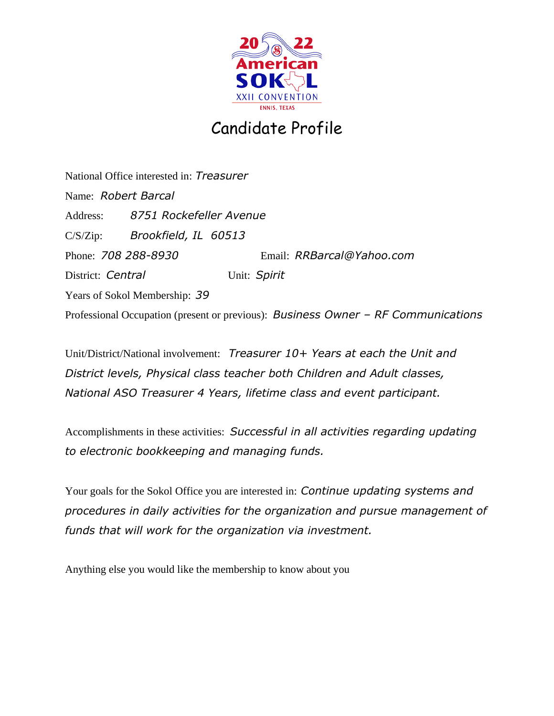

## Candidate Profile

National Office interested in: *Treasurer* Name: *Robert Barcal* Address: *8751 Rockefeller Avenue* C/S/Zip: *Brookfield, IL 60513* Phone: *708 288-8930* Email: *RRBarcal@Yahoo.com* District: *Central* Unit: Spirit Years of Sokol Membership: *39* Professional Occupation (present or previous): *Business Owner – RF Communications*

Unit/District/National involvement: *Treasurer 10+ Years at each the Unit and District levels, Physical class teacher both Children and Adult classes, National ASO Treasurer 4 Years, lifetime class and event participant.*

Accomplishments in these activities: *Successful in all activities regarding updating to electronic bookkeeping and managing funds.*

Your goals for the Sokol Office you are interested in: *Continue updating systems and procedures in daily activities for the organization and pursue management of funds that will work for the organization via investment.*

Anything else you would like the membership to know about you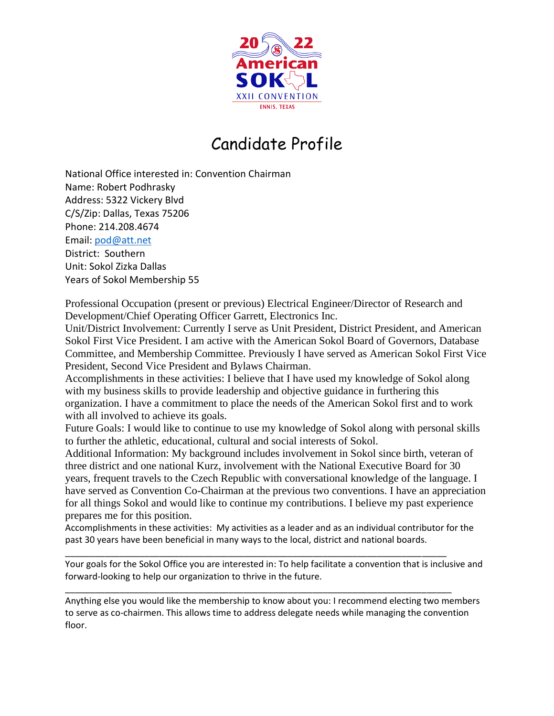

## Candidate Profile

National Office interested in: Convention Chairman Name: Robert Podhrasky Address: 5322 Vickery Blvd C/S/Zip: Dallas, Texas 75206 Phone: 214.208.4674 Email: [pod@att.net](mailto:pod@att.net) District: Southern Unit: Sokol Zizka Dallas Years of Sokol Membership 55

Professional Occupation (present or previous) Electrical Engineer/Director of Research and Development/Chief Operating Officer Garrett, Electronics Inc.

Unit/District Involvement: Currently I serve as Unit President, District President, and American Sokol First Vice President. I am active with the American Sokol Board of Governors, Database Committee, and Membership Committee. Previously I have served as American Sokol First Vice President, Second Vice President and Bylaws Chairman.

Accomplishments in these activities: I believe that I have used my knowledge of Sokol along with my business skills to provide leadership and objective guidance in furthering this organization. I have a commitment to place the needs of the American Sokol first and to work with all involved to achieve its goals.

Future Goals: I would like to continue to use my knowledge of Sokol along with personal skills to further the athletic, educational, cultural and social interests of Sokol.

Additional Information: My background includes involvement in Sokol since birth, veteran of three district and one national Kurz, involvement with the National Executive Board for 30 years, frequent travels to the Czech Republic with conversational knowledge of the language. I have served as Convention Co-Chairman at the previous two conventions. I have an appreciation for all things Sokol and would like to continue my contributions. I believe my past experience prepares me for this position.

Accomplishments in these activities: My activities as a leader and as an individual contributor for the past 30 years have been beneficial in many ways to the local, district and national boards.

\_\_\_\_\_\_\_\_\_\_\_\_\_\_\_\_\_\_\_\_\_\_\_\_\_\_\_\_\_\_\_\_\_\_\_\_\_\_\_\_\_\_\_\_\_\_\_\_\_\_\_\_\_\_\_\_\_\_\_\_\_\_\_\_\_\_\_\_\_\_\_\_\_\_\_\_\_ Your goals for the Sokol Office you are interested in: To help facilitate a convention that is inclusive and forward-looking to help our organization to thrive in the future.

Anything else you would like the membership to know about you: I recommend electing two members to serve as co-chairmen. This allows time to address delegate needs while managing the convention floor.

\_\_\_\_\_\_\_\_\_\_\_\_\_\_\_\_\_\_\_\_\_\_\_\_\_\_\_\_\_\_\_\_\_\_\_\_\_\_\_\_\_\_\_\_\_\_\_\_\_\_\_\_\_\_\_\_\_\_\_\_\_\_\_\_\_\_\_\_\_\_\_\_\_\_\_\_\_\_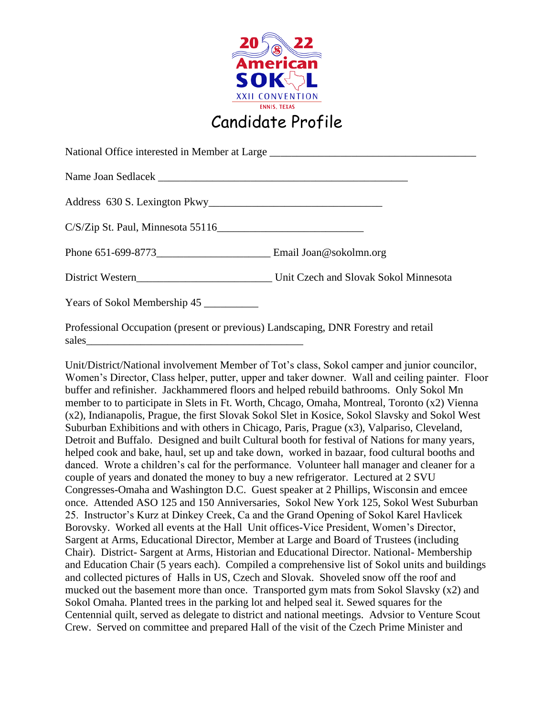

| National Office interested in Member at Large __________________________________ |  |
|----------------------------------------------------------------------------------|--|
|                                                                                  |  |
|                                                                                  |  |
| C/S/Zip St. Paul, Minnesota 55116                                                |  |
|                                                                                  |  |
|                                                                                  |  |
| Years of Sokol Membership 45                                                     |  |
|                                                                                  |  |

Professional Occupation (present or previous) Landscaping, DNR Forestry and retail sales

Unit/District/National involvement Member of Tot's class, Sokol camper and junior councilor, Women's Director, Class helper, putter, upper and taker downer. Wall and ceiling painter. Floor buffer and refinisher. Jackhammered floors and helped rebuild bathrooms. Only Sokol Mn member to to participate in Slets in Ft. Worth, Chcago, Omaha, Montreal, Toronto (x2) Vienna (x2), Indianapolis, Prague, the first Slovak Sokol Slet in Kosice, Sokol Slavsky and Sokol West Suburban Exhibitions and with others in Chicago, Paris, Prague (x3), Valpariso, Cleveland, Detroit and Buffalo. Designed and built Cultural booth for festival of Nations for many years, helped cook and bake, haul, set up and take down, worked in bazaar, food cultural booths and danced. Wrote a children's cal for the performance. Volunteer hall manager and cleaner for a couple of years and donated the money to buy a new refrigerator. Lectured at 2 SVU Congresses-Omaha and Washington D.C. Guest speaker at 2 Phillips, Wisconsin and emcee once. Attended ASO 125 and 150 Anniversaries, Sokol New York 125, Sokol West Suburban 25. Instructor's Kurz at Dinkey Creek, Ca and the Grand Opening of Sokol Karel Havlicek Borovsky. Worked all events at the Hall Unit offices-Vice President, Women's Director, Sargent at Arms, Educational Director, Member at Large and Board of Trustees (including Chair). District- Sargent at Arms, Historian and Educational Director. National- Membership and Education Chair (5 years each). Compiled a comprehensive list of Sokol units and buildings and collected pictures of Halls in US, Czech and Slovak. Shoveled snow off the roof and mucked out the basement more than once. Transported gym mats from Sokol Slavsky (x2) and Sokol Omaha. Planted trees in the parking lot and helped seal it. Sewed squares for the Centennial quilt, served as delegate to district and national meetings. Advsior to Venture Scout Crew. Served on committee and prepared Hall of the visit of the Czech Prime Minister and